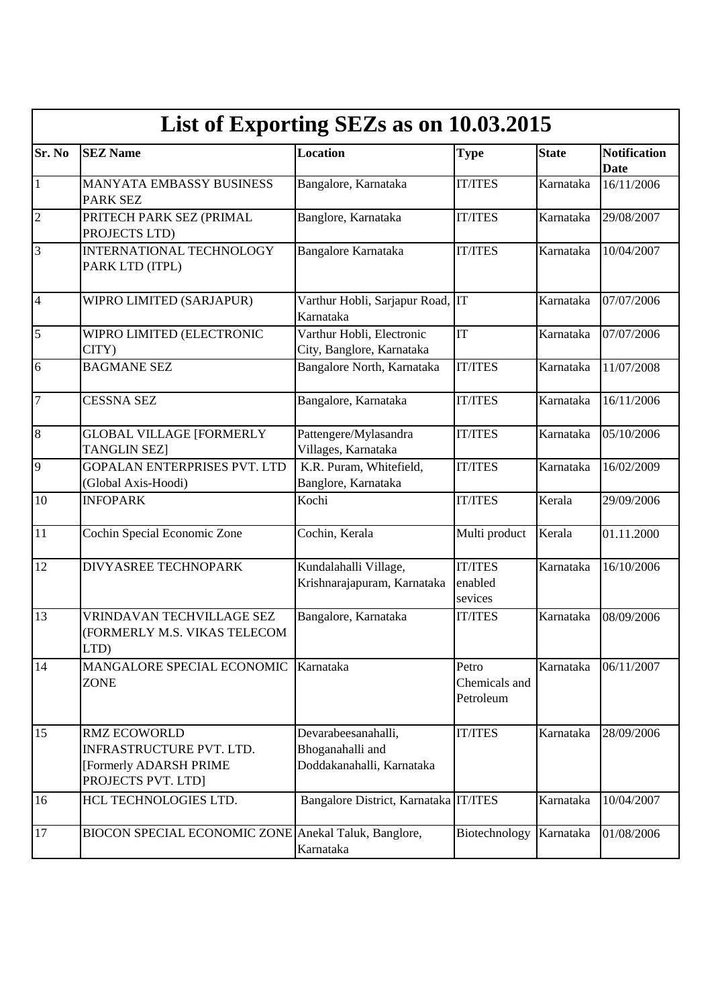|                | List of Exporting SEZs as on 10.03.2015                                                                |                                                                      |                                      |              |                                    |  |  |  |
|----------------|--------------------------------------------------------------------------------------------------------|----------------------------------------------------------------------|--------------------------------------|--------------|------------------------------------|--|--|--|
| Sr. No         | <b>SEZ Name</b>                                                                                        | <b>Location</b>                                                      | <b>Type</b>                          | <b>State</b> | <b>Notification</b><br><b>Date</b> |  |  |  |
| $\mathbf{1}$   | MANYATA EMBASSY BUSINESS<br><b>PARK SEZ</b>                                                            | Bangalore, Karnataka                                                 | <b>IT/ITES</b>                       | Karnataka    | 16/11/2006                         |  |  |  |
| $\overline{2}$ | PRITECH PARK SEZ (PRIMAL<br>PROJECTS LTD)                                                              | Banglore, Karnataka                                                  | <b>IT/ITES</b>                       | Karnataka    | 29/08/2007                         |  |  |  |
| 3              | <b>INTERNATIONAL TECHNOLOGY</b><br>PARK LTD (ITPL)                                                     | Bangalore Karnataka                                                  | <b>IT/ITES</b>                       | Karnataka    | 10/04/2007                         |  |  |  |
| $\overline{4}$ | WIPRO LIMITED (SARJAPUR)                                                                               | Varthur Hobli, Sarjapur Road, IT<br>Karnataka                        |                                      | Karnataka    | 07/07/2006                         |  |  |  |
| 5              | WIPRO LIMITED (ELECTRONIC<br>CITY)                                                                     | Varthur Hobli, Electronic<br>City, Banglore, Karnataka               | IT                                   | Karnataka    | 07/07/2006                         |  |  |  |
| 6              | <b>BAGMANE SEZ</b>                                                                                     | Bangalore North, Karnataka                                           | <b>IT/ITES</b>                       | Karnataka    | 11/07/2008                         |  |  |  |
| 7              | <b>CESSNA SEZ</b>                                                                                      | Bangalore, Karnataka                                                 | <b>IT/ITES</b>                       | Karnataka    | 16/11/2006                         |  |  |  |
| 8              | <b>GLOBAL VILLAGE [FORMERLY</b><br><b>TANGLIN SEZ]</b>                                                 | Pattengere/Mylasandra<br>Villages, Karnataka                         | <b>IT/ITES</b>                       | Karnataka    | 05/10/2006                         |  |  |  |
| 9              | <b>GOPALAN ENTERPRISES PVT. LTD</b><br>(Global Axis-Hoodi)                                             | K.R. Puram, Whitefield,<br>Banglore, Karnataka                       | <b>IT/ITES</b>                       | Karnataka    | 16/02/2009                         |  |  |  |
| 10             | <b>INFOPARK</b>                                                                                        | Kochi                                                                | <b>IT/ITES</b>                       | Kerala       | 29/09/2006                         |  |  |  |
| 11             | Cochin Special Economic Zone                                                                           | Cochin, Kerala                                                       | Multi product                        | Kerala       | 01.11.2000                         |  |  |  |
| 12             | <b>DIVYASREE TECHNOPARK</b>                                                                            | Kundalahalli Village,<br>Krishnarajapuram, Karnataka                 | <b>IT/ITES</b><br>enabled<br>sevices | Karnataka    | 16/10/2006                         |  |  |  |
| 13             | VRINDAVAN TECHVILLAGE SEZ<br>(FORMERLY M.S. VIKAS TELECOM<br>LTD)                                      | Bangalore, Karnataka                                                 | <b>IT/ITES</b>                       | Karnataka    | 08/09/2006                         |  |  |  |
| 14             | MANGALORE SPECIAL ECONOMIC<br><b>ZONE</b>                                                              | Karnataka                                                            | Petro<br>Chemicals and<br>Petroleum  | Karnataka    | 06/11/2007                         |  |  |  |
| 15             | <b>RMZ ECOWORLD</b><br><b>INFRASTRUCTURE PVT. LTD.</b><br>[Formerly ADARSH PRIME<br>PROJECTS PVT. LTD] | Devarabeesanahalli,<br>Bhoganahalli and<br>Doddakanahalli, Karnataka | <b>IT/ITES</b>                       | Karnataka    | 28/09/2006                         |  |  |  |
| 16             | HCL TECHNOLOGIES LTD.                                                                                  | Bangalore District, Karnataka IT/ITES                                |                                      | Karnataka    | 10/04/2007                         |  |  |  |
| 17             | BIOCON SPECIAL ECONOMIC ZONE Anekal Taluk, Banglore,                                                   | Karnataka                                                            | Biotechnology                        | Karnataka    | 01/08/2006                         |  |  |  |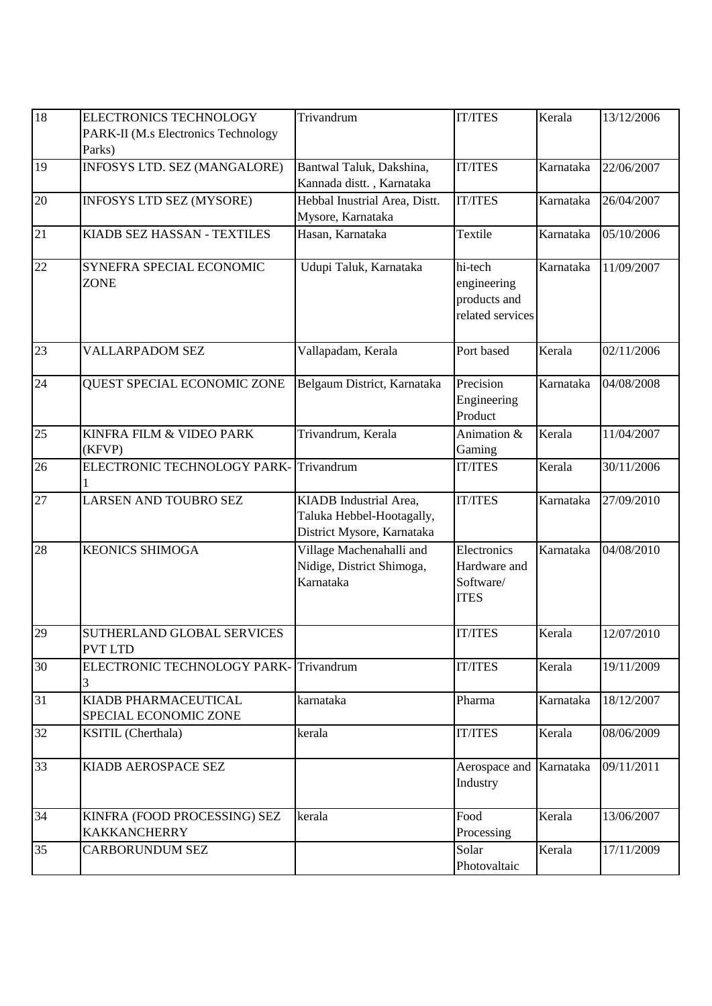| 18              | <b>ELECTRONICS TECHNOLOGY</b><br>PARK-II (M.s Electronics Technology<br>Parks) | Trivandrum                                                                        | <b>IT/ITES</b>                                             | Kerala    | 13/12/2006 |
|-----------------|--------------------------------------------------------------------------------|-----------------------------------------------------------------------------------|------------------------------------------------------------|-----------|------------|
| 19              | INFOSYS LTD. SEZ (MANGALORE)                                                   | Bantwal Taluk, Dakshina,<br>Kannada distt., Karnataka                             | <b>IT/ITES</b>                                             | Karnataka | 22/06/2007 |
| 20              | INFOSYS LTD SEZ (MYSORE)                                                       | Hebbal Inustrial Area, Distt.<br>Mysore, Karnataka                                | <b>IT/ITES</b>                                             | Karnataka | 26/04/2007 |
| 21              | KIADB SEZ HASSAN - TEXTILES                                                    | Hasan, Karnataka                                                                  | Textile                                                    | Karnataka | 05/10/2006 |
| 22              | SYNEFRA SPECIAL ECONOMIC<br><b>ZONE</b>                                        | Udupi Taluk, Karnataka                                                            | hi-tech<br>engineering<br>products and<br>related services | Karnataka | 11/09/2007 |
| 23              | <b>VALLARPADOM SEZ</b>                                                         | Vallapadam, Kerala                                                                | Port based                                                 | Kerala    | 02/11/2006 |
| 24              | QUEST SPECIAL ECONOMIC ZONE                                                    | Belgaum District, Karnataka                                                       | Precision<br>Engineering<br>Product                        | Karnataka | 04/08/2008 |
| 25              | KINFRA FILM & VIDEO PARK<br>(KFVP)                                             | Trivandrum, Kerala                                                                | Animation &<br>Gaming                                      | Kerala    | 11/04/2007 |
| 26              | ELECTRONIC TECHNOLOGY PARK-                                                    | Trivandrum                                                                        | <b>IT/ITES</b>                                             | Kerala    | 30/11/2006 |
| 27              | LARSEN AND TOUBRO SEZ                                                          | KIADB Industrial Area,<br>Taluka Hebbel-Hootagally,<br>District Mysore, Karnataka | <b>IT/ITES</b>                                             | Karnataka | 27/09/2010 |
| 28              | <b>KEONICS SHIMOGA</b>                                                         | Village Machenahalli and<br>Nidige, District Shimoga,<br>Karnataka                | Electronics<br>Hardware and<br>Software/<br><b>ITES</b>    | Karnataka | 04/08/2010 |
| 29              | SUTHERLAND GLOBAL SERVICES<br><b>PVT LTD</b>                                   |                                                                                   | <b>IT/ITES</b>                                             | Kerala    | 12/07/2010 |
| $\overline{30}$ | ELECTRONIC TECHNOLOGY PARK-Trivandrum<br>3                                     |                                                                                   | <b>IT/ITES</b>                                             | Kerala    | 19/11/2009 |
| 31              | KIADB PHARMACEUTICAL<br>SPECIAL ECONOMIC ZONE                                  | karnataka                                                                         | Pharma                                                     | Karnataka | 18/12/2007 |
| 32              | <b>KSITIL</b> (Cherthala)                                                      | kerala                                                                            | <b>IT/ITES</b>                                             | Kerala    | 08/06/2009 |
| 33              | KIADB AEROSPACE SEZ                                                            |                                                                                   | Aerospace and Karnataka<br>Industry                        |           | 09/11/2011 |
| 34              | KINFRA (FOOD PROCESSING) SEZ<br><b>KAKKANCHERRY</b>                            | kerala                                                                            | Food<br>Processing                                         | Kerala    | 13/06/2007 |
| 35              | CARBORUNDUM SEZ                                                                |                                                                                   | Solar<br>Photovaltaic                                      | Kerala    | 17/11/2009 |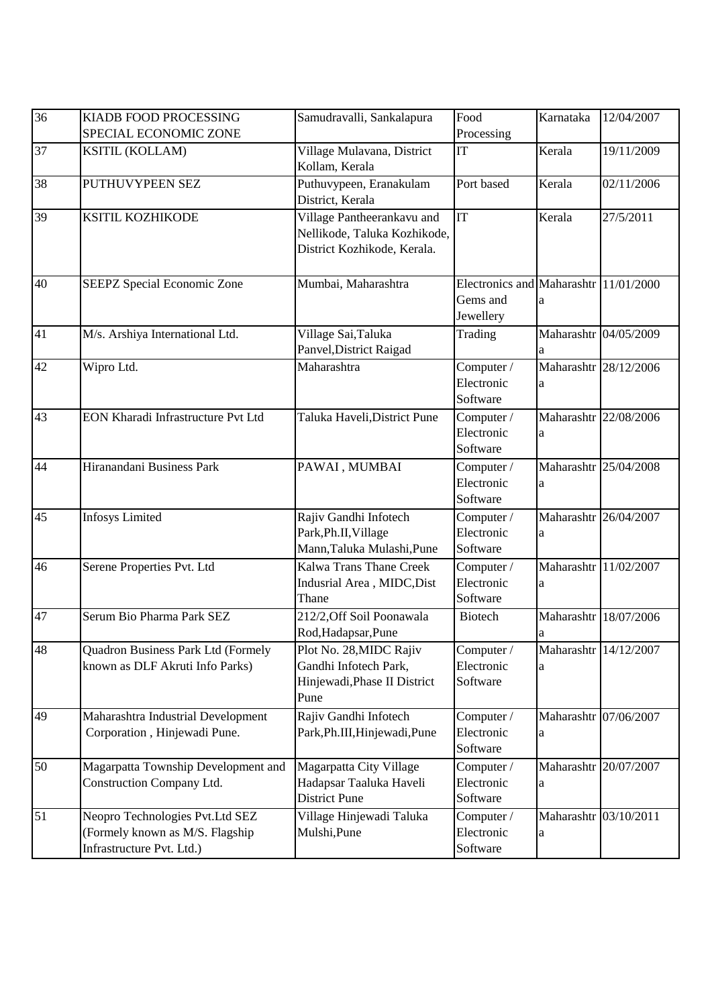| $\overline{36}$ | KIADB FOOD PROCESSING<br>SPECIAL ECONOMIC ZONE                                                  | Samudravalli, Sankalapura                                                                 | Food<br>Processing                                             | Karnataka                  | 12/04/2007            |
|-----------------|-------------------------------------------------------------------------------------------------|-------------------------------------------------------------------------------------------|----------------------------------------------------------------|----------------------------|-----------------------|
| 37              | <b>KSITIL (KOLLAM)</b>                                                                          | Village Mulavana, District<br>Kollam, Kerala                                              | IT                                                             | Kerala                     | 19/11/2009            |
| 38              | PUTHUVYPEEN SEZ                                                                                 | Puthuvypeen, Eranakulam<br>District, Kerala                                               | Port based                                                     | Kerala                     | 02/11/2006            |
| 39              | KSITIL KOZHIKODE                                                                                | Village Pantheerankavu and<br>Nellikode, Taluka Kozhikode,<br>District Kozhikode, Kerala. | IT                                                             | Kerala                     | 27/5/2011             |
| 40              | SEEPZ Special Economic Zone                                                                     | Mumbai, Maharashtra                                                                       | Electronics and Maharashtr 11/01/2000<br>Gems and<br>Jewellery | a                          |                       |
| 41              | M/s. Arshiya International Ltd.                                                                 | Village Sai, Taluka<br>Panvel, District Raigad                                            | Trading                                                        | a                          | Maharashtr 04/05/2009 |
| 42              | Wipro Ltd.                                                                                      | Maharashtra                                                                               | Computer /<br>Electronic<br>Software                           | a                          | Maharashtr 28/12/2006 |
| 43              | EON Kharadi Infrastructure Pvt Ltd                                                              | Taluka Haveli, District Pune                                                              | Computer /<br>Electronic<br>Software                           | a                          | Maharashtr 22/08/2006 |
| 44              | Hiranandani Business Park                                                                       | PAWAI, MUMBAI                                                                             | Computer /<br>Electronic<br>Software                           | a                          | Maharashtr 25/04/2008 |
| 45              | <b>Infosys Limited</b>                                                                          | Rajiv Gandhi Infotech<br>Park, Ph.II, Village<br>Mann, Taluka Mulashi, Pune               | Computer /<br>Electronic<br>Software                           | a                          | Maharashtr 26/04/2007 |
| 46              | Serene Properties Pvt. Ltd                                                                      | <b>Kalwa Trans Thane Creek</b><br>Indusrial Area, MIDC, Dist<br>Thane                     | Computer /<br>Electronic<br>Software                           | a                          | Maharashtr 11/02/2007 |
| 47              | Serum Bio Pharma Park SEZ                                                                       | 212/2, Off Soil Poonawala<br>Rod, Hadapsar, Pune                                          | <b>Biotech</b>                                                 | a                          | Maharashtr 18/07/2006 |
| 48              | <b>Quadron Business Park Ltd (Formely</b><br>known as DLF Akruti Info Parks)                    | Plot No. 28, MIDC Rajiv<br>Gandhi Infotech Park,<br>Hinjewadi, Phase II District<br>Pune  | Computer /<br>Electronic<br>Software                           | Maharashtr 14/12/2007<br>a |                       |
| 49              | Maharashtra Industrial Development<br>Corporation, Hinjewadi Pune.                              | Rajiv Gandhi Infotech<br>Park, Ph.III, Hinjewadi, Pune                                    | Computer /<br>Electronic<br>Software                           | a                          | Maharashtr 07/06/2007 |
| 50              | Magarpatta Township Development and<br>Construction Company Ltd.                                | Magarpatta City Village<br>Hadapsar Taaluka Haveli<br><b>District Pune</b>                | Computer /<br>Electronic<br>Software                           | a                          | Maharashtr 20/07/2007 |
| 51              | Neopro Technologies Pvt.Ltd SEZ<br>(Formely known as M/S. Flagship<br>Infrastructure Pvt. Ltd.) | Village Hinjewadi Taluka<br>Mulshi, Pune                                                  | Computer /<br>Electronic<br>Software                           | Maharashtr 03/10/2011<br>a |                       |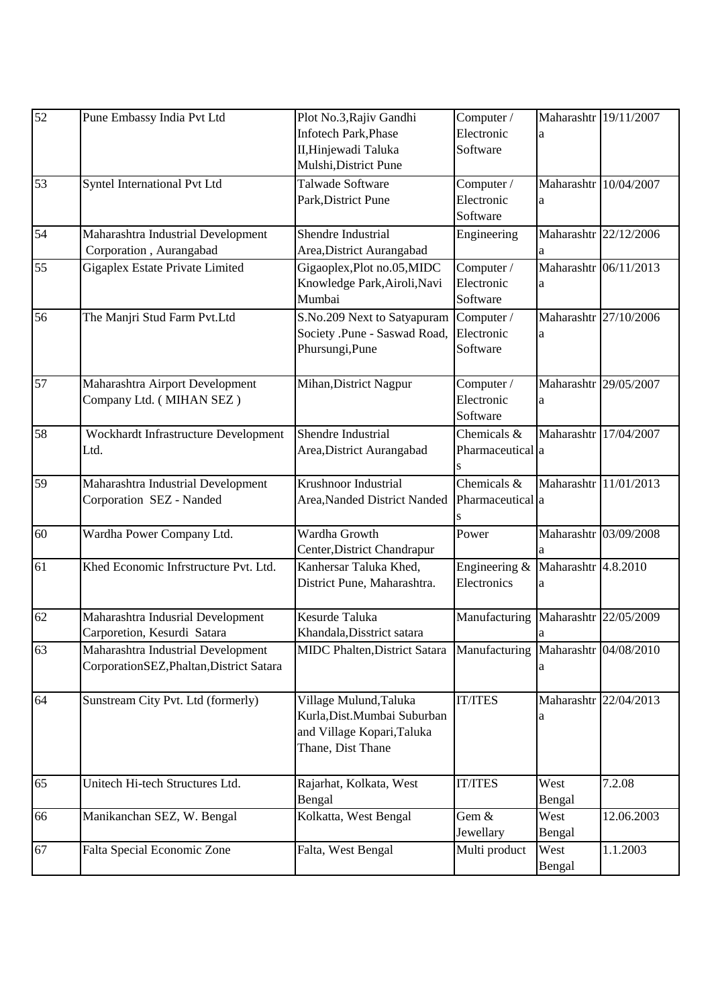| 52              | Pune Embassy India Pvt Ltd               | Plot No.3, Rajiv Gandhi                                           | Computer /       | Maharashtr 19/11/2007 |            |
|-----------------|------------------------------------------|-------------------------------------------------------------------|------------------|-----------------------|------------|
|                 |                                          | <b>Infotech Park, Phase</b>                                       | Electronic       | a                     |            |
|                 |                                          | II, Hinjewadi Taluka                                              | Software         |                       |            |
|                 |                                          | Mulshi, District Pune                                             |                  |                       |            |
| 53              | Syntel International Pvt Ltd             | Talwade Software                                                  | Computer /       | Maharashtr 10/04/2007 |            |
|                 |                                          | Park, District Pune                                               | Electronic       | a                     |            |
|                 |                                          |                                                                   | Software         |                       |            |
| 54              | Maharashtra Industrial Development       | Shendre Industrial                                                | Engineering      | Maharashtr 22/12/2006 |            |
|                 | Corporation, Aurangabad                  | Area, District Aurangabad                                         |                  | a                     |            |
| 55              | Gigaplex Estate Private Limited          | Gigaoplex, Plot no.05, MIDC                                       | Computer /       | Maharashtr 06/11/2013 |            |
|                 |                                          | Knowledge Park, Airoli, Navi                                      | Electronic       | a                     |            |
|                 |                                          | Mumbai                                                            | Software         |                       |            |
| 56              | The Manjri Stud Farm Pvt.Ltd             | S.No.209 Next to Satyapuram                                       | Computer /       | Maharashtr 27/10/2006 |            |
|                 |                                          | Society .Pune - Saswad Road,                                      | Electronic       | a                     |            |
|                 |                                          | Phursungi, Pune                                                   | Software         |                       |            |
|                 |                                          |                                                                   |                  |                       |            |
| 57              | Maharashtra Airport Development          | Mihan, District Nagpur                                            | Computer /       | Maharashtr 29/05/2007 |            |
|                 | Company Ltd. (MIHAN SEZ)                 |                                                                   | Electronic       | a                     |            |
|                 |                                          |                                                                   | Software         |                       |            |
| $\overline{58}$ | Wockhardt Infrastructure Development     | Shendre Industrial                                                | Chemicals &      | Maharashtr 17/04/2007 |            |
|                 | Ltd.                                     | Area, District Aurangabad                                         | Pharmaceutical a |                       |            |
|                 |                                          |                                                                   |                  |                       |            |
| 59              | Maharashtra Industrial Development       | Krushnoor Industrial                                              | Chemicals &      | Maharashtr 11/01/2013 |            |
|                 | Corporation SEZ - Nanded                 | Area, Nanded District Nanded                                      | Pharmaceutical a |                       |            |
|                 |                                          |                                                                   |                  |                       |            |
| 60              | Wardha Power Company Ltd.                | Wardha Growth                                                     | Power            | Maharashtr 03/09/2008 |            |
|                 |                                          | Center, District Chandrapur                                       |                  |                       |            |
| 61              | Khed Economic Infrstructure Pvt. Ltd.    | Kanhersar Taluka Khed,                                            | Engineering &    | Maharashtr 4.8.2010   |            |
|                 |                                          | District Pune, Maharashtra.                                       | Electronics      | a                     |            |
|                 |                                          |                                                                   |                  |                       |            |
| 62              | Maharashtra Indusrial Development        | Kesurde Taluka                                                    | Manufacturing    | Maharashtr 22/05/2009 |            |
|                 | Carporetion, Kesurdi Satara              | Khandala, Disstrict satara                                        |                  | a                     |            |
| 63              | Maharashtra Industrial Development       | MIDC Phalten, District Satara Manufacturing Maharashtr 04/08/2010 |                  |                       |            |
|                 | CorporationSEZ, Phaltan, District Satara |                                                                   |                  | a                     |            |
|                 |                                          |                                                                   |                  |                       |            |
| 64              | Sunstream City Pvt. Ltd (formerly)       | Village Mulund, Taluka                                            | <b>IT/ITES</b>   | Maharashtr 22/04/2013 |            |
|                 |                                          | Kurla, Dist. Mumbai Suburban                                      |                  | a                     |            |
|                 |                                          | and Village Kopari, Taluka                                        |                  |                       |            |
|                 |                                          | Thane, Dist Thane                                                 |                  |                       |            |
|                 |                                          |                                                                   |                  |                       |            |
| 65              | Unitech Hi-tech Structures Ltd.          | Rajarhat, Kolkata, West                                           | <b>IT/ITES</b>   | West                  | 7.2.08     |
|                 |                                          | Bengal                                                            |                  | Bengal                |            |
| 66              | Manikanchan SEZ, W. Bengal               | Kolkatta, West Bengal                                             | Gem &            | West                  | 12.06.2003 |
|                 |                                          |                                                                   | Jewellary        | Bengal                |            |
| 67              | Falta Special Economic Zone              | Falta, West Bengal                                                | Multi product    | West                  | 1.1.2003   |
|                 |                                          |                                                                   |                  | Bengal                |            |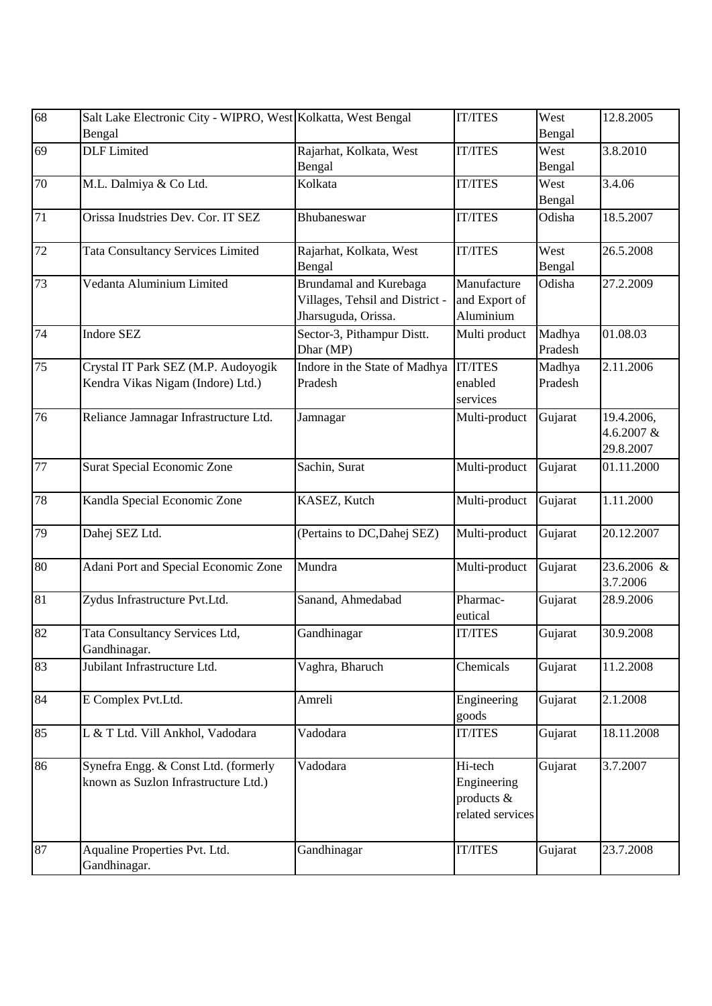| 68              | Salt Lake Electronic City - WIPRO, West Kolkatta, West Bengal<br>Bengal      |                                                                                  | <b>IT/ITES</b>                                           | West<br>Bengal    | 12.8.2005                             |
|-----------------|------------------------------------------------------------------------------|----------------------------------------------------------------------------------|----------------------------------------------------------|-------------------|---------------------------------------|
| 69              | <b>DLF</b> Limited                                                           | Rajarhat, Kolkata, West<br>Bengal                                                | <b>IT/ITES</b>                                           | West<br>Bengal    | 3.8.2010                              |
| 70              | M.L. Dalmiya & Co Ltd.                                                       | Kolkata                                                                          | <b>IT/ITES</b>                                           | West<br>Bengal    | 3.4.06                                |
| 71              | Orissa Inudstries Dev. Cor. IT SEZ                                           | Bhubaneswar                                                                      | <b>IT/ITES</b>                                           | Odisha            | 18.5.2007                             |
| 72              | <b>Tata Consultancy Services Limited</b>                                     | Rajarhat, Kolkata, West<br>Bengal                                                | <b>IT/ITES</b>                                           | West<br>Bengal    | 26.5.2008                             |
| 73              | Vedanta Aluminium Limited                                                    | Brundamal and Kurebaga<br>Villages, Tehsil and District -<br>Jharsuguda, Orissa. | Manufacture<br>and Export of<br>Aluminium                | Odisha            | 27.2.2009                             |
| 74              | <b>Indore SEZ</b>                                                            | Sector-3, Pithampur Distt.<br>Dhar (MP)                                          | Multi product                                            | Madhya<br>Pradesh | 01.08.03                              |
| 75              | Crystal IT Park SEZ (M.P. Audoyogik<br>Kendra Vikas Nigam (Indore) Ltd.)     | Indore in the State of Madhya<br>Pradesh                                         | <b>IT/ITES</b><br>enabled<br>services                    | Madhya<br>Pradesh | 2.11.2006                             |
| 76              | Reliance Jamnagar Infrastructure Ltd.                                        | Jamnagar                                                                         | Multi-product                                            | Gujarat           | 19.4.2006,<br>4.6.2007 &<br>29.8.2007 |
| 77              | Surat Special Economic Zone                                                  | Sachin, Surat                                                                    | Multi-product                                            | Gujarat           | 01.11.2000                            |
| 78              | Kandla Special Economic Zone                                                 | KASEZ, Kutch                                                                     | Multi-product                                            | Gujarat           | 1.11.2000                             |
| 79              | Dahej SEZ Ltd.                                                               | (Pertains to DC, Dahej SEZ)                                                      | Multi-product                                            | Gujarat           | 20.12.2007                            |
| 80              | Adani Port and Special Economic Zone                                         | Mundra                                                                           | Multi-product                                            | Gujarat           | 23.6.2006 &<br>3.7.2006               |
| 81              | Zydus Infrastructure Pvt.Ltd.                                                | Sanand, Ahmedabad                                                                | Pharmac-<br>eutical                                      | Gujarat           | 28.9.2006                             |
| 82              | Tata Consultancy Services Ltd,<br>Gandhinagar.                               | Gandhinagar                                                                      | <b>IT/ITES</b>                                           | Gujarat           | 30.9.2008                             |
| $\overline{83}$ | Jubilant Infrastructure Ltd.                                                 | Vaghra, Bharuch                                                                  | Chemicals                                                | Gujarat           | 11.2.2008                             |
| 84              | E Complex Pvt.Ltd.                                                           | Amreli                                                                           | Engineering<br>goods                                     | Gujarat           | 2.1.2008                              |
| 85              | L & T Ltd. Vill Ankhol, Vadodara                                             | Vadodara                                                                         | <b>IT/ITES</b>                                           | Gujarat           | 18.11.2008                            |
| $\overline{86}$ | Synefra Engg. & Const Ltd. (formerly<br>known as Suzlon Infrastructure Ltd.) | Vadodara                                                                         | Hi-tech<br>Engineering<br>products &<br>related services | Gujarat           | $\overline{3.7.2007}$                 |
| 87              | Aqualine Properties Pvt. Ltd.<br>Gandhinagar.                                | Gandhinagar                                                                      | <b>IT/ITES</b>                                           | Gujarat           | 23.7.2008                             |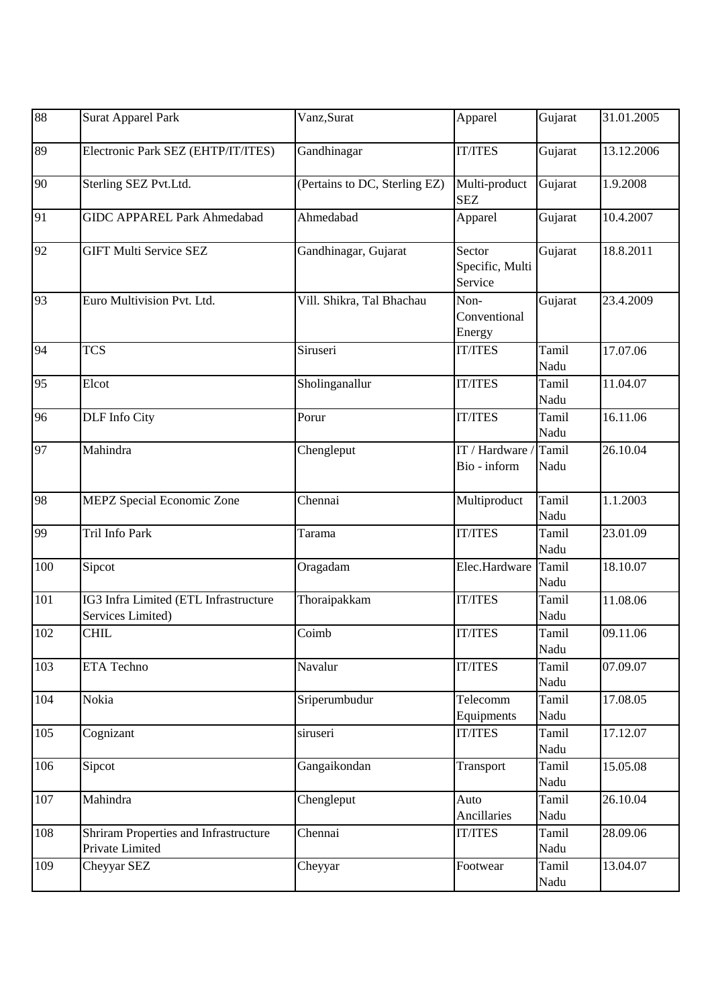| 88  | <b>Surat Apparel Park</b>                                  | Vanz, Surat                   | Apparel                              | Gujarat       | 31.01.2005 |
|-----|------------------------------------------------------------|-------------------------------|--------------------------------------|---------------|------------|
| 89  | Electronic Park SEZ (EHTP/IT/ITES)                         | Gandhinagar                   | <b>IT/ITES</b>                       | Gujarat       | 13.12.2006 |
| 90  | Sterling SEZ Pvt.Ltd.                                      | (Pertains to DC, Sterling EZ) | Multi-product<br><b>SEZ</b>          | Gujarat       | 1.9.2008   |
| 91  | <b>GIDC APPAREL Park Ahmedabad</b>                         | Ahmedabad                     | Apparel                              | Gujarat       | 10.4.2007  |
| 92  | <b>GIFT Multi Service SEZ</b>                              | Gandhinagar, Gujarat          | Sector<br>Specific, Multi<br>Service | Gujarat       | 18.8.2011  |
| 93  | Euro Multivision Pvt. Ltd.                                 | Vill. Shikra, Tal Bhachau     | Non-<br>Conventional<br>Energy       | Gujarat       | 23.4.2009  |
| 94  | <b>TCS</b>                                                 | Siruseri                      | <b>IT/ITES</b>                       | Tamil<br>Nadu | 17.07.06   |
| 95  | Elcot                                                      | Sholinganallur                | <b>IT/ITES</b>                       | Tamil<br>Nadu | 11.04.07   |
| 96  | <b>DLF</b> Info City                                       | Porur                         | <b>IT/ITES</b>                       | Tamil<br>Nadu | 16.11.06   |
| 97  | Mahindra                                                   | Chengleput                    | IT / Hardware /<br>Bio - inform      | Tamil<br>Nadu | 26.10.04   |
| 98  | <b>MEPZ</b> Special Economic Zone                          | Chennai                       | Multiproduct                         | Tamil<br>Nadu | 1.1.2003   |
| 99  | Tril Info Park                                             | Tarama                        | <b>IT/ITES</b>                       | Tamil<br>Nadu | 23.01.09   |
| 100 | Sipcot                                                     | Oragadam                      | Elec.Hardware                        | Tamil<br>Nadu | 18.10.07   |
| 101 | IG3 Infra Limited (ETL Infrastructure<br>Services Limited) | Thoraipakkam                  | <b>IT/ITES</b>                       | Tamil<br>Nadu | 11.08.06   |
| 102 | <b>CHIL</b>                                                | Coimb                         | <b>IT/ITES</b>                       | Tamil<br>Nadu | 09.11.06   |
| 103 | <b>ETA Techno</b>                                          | Navalur                       | <b>IT/ITES</b>                       | Tamil<br>Nadu | 07.09.07   |
| 104 | Nokia                                                      | Sriperumbudur                 | Telecomm<br>Equipments               | Tamil<br>Nadu | 17.08.05   |
| 105 | Cognizant                                                  | siruseri                      | <b>IT/ITES</b>                       | Tamil<br>Nadu | 17.12.07   |
| 106 | Sipcot                                                     | Gangaikondan                  | Transport                            | Tamil<br>Nadu | 15.05.08   |
| 107 | Mahindra                                                   | Chengleput                    | Auto<br>Ancillaries                  | Tamil<br>Nadu | 26.10.04   |
| 108 | Shriram Properties and Infrastructure<br>Private Limited   | Chennai                       | <b>IT/ITES</b>                       | Tamil<br>Nadu | 28.09.06   |
| 109 | Cheyyar SEZ                                                | Cheyyar                       | Footwear                             | Tamil<br>Nadu | 13.04.07   |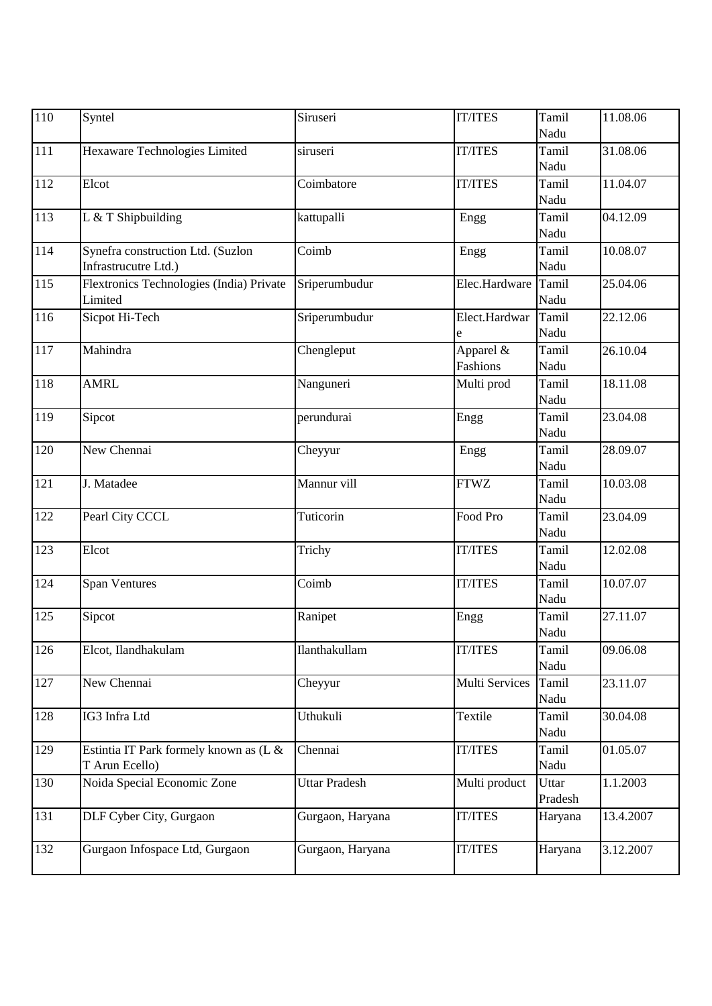| 110              | Syntel                                                    | Siruseri             | <b>IT/ITES</b>           | Tamil<br>Nadu    | 11.08.06  |
|------------------|-----------------------------------------------------------|----------------------|--------------------------|------------------|-----------|
| 111              | Hexaware Technologies Limited                             | siruseri             | <b>IT/ITES</b>           | Tamil<br>Nadu    | 31.08.06  |
| 112              | Elcot                                                     | Coimbatore           | <b>IT/ITES</b>           | Tamil<br>Nadu    | 11.04.07  |
| 113              | L & T Shipbuilding                                        | kattupalli           | Engg                     | Tamil<br>Nadu    | 04.12.09  |
| $\overline{114}$ | Synefra construction Ltd. (Suzlon<br>Infrastrucutre Ltd.) | Coimb                | Engg                     | Tamil<br>Nadu    | 10.08.07  |
| 115              | Flextronics Technologies (India) Private<br>Limited       | Sriperumbudur        | Elec.Hardware            | Tamil<br>Nadu    | 25.04.06  |
| 116              | Sicpot Hi-Tech                                            | Sriperumbudur        | Elect.Hardwar<br>e       | Tamil<br>Nadu    | 22.12.06  |
| 117              | Mahindra                                                  | Chengleput           | Apparel $\&$<br>Fashions | Tamil<br>Nadu    | 26.10.04  |
| 118              | <b>AMRL</b>                                               | Nanguneri            | Multi prod               | Tamil<br>Nadu    | 18.11.08  |
| 119              | Sipcot                                                    | perundurai           | Engg                     | Tamil<br>Nadu    | 23.04.08  |
| 120              | New Chennai                                               | Cheyyur              | Engg                     | Tamil<br>Nadu    | 28.09.07  |
| 121              | J. Matadee                                                | Mannur vill          | <b>FTWZ</b>              | Tamil<br>Nadu    | 10.03.08  |
| 122              | Pearl City CCCL                                           | Tuticorin            | Food Pro                 | Tamil<br>Nadu    | 23.04.09  |
| 123              | Elcot                                                     | Trichy               | <b>IT/ITES</b>           | Tamil<br>Nadu    | 12.02.08  |
| 124              | <b>Span Ventures</b>                                      | Coimb                | <b>IT/ITES</b>           | Tamil<br>Nadu    | 10.07.07  |
| 125              | Sipcot                                                    | Ranipet              | Engg                     | Tamil<br>Nadu    | 27.11.07  |
| 126              | Elcot, Ilandhakulam                                       | Ilanthakullam        | <b>IT/ITES</b>           | Tamil<br>Nadu    | 09.06.08  |
| 127              | New Chennai                                               | Cheyyur              | Multi Services           | Tamil<br>Nadu    | 23.11.07  |
| 128              | IG3 Infra Ltd                                             | Uthukuli             | Textile                  | Tamil<br>Nadu    | 30.04.08  |
| 129              | Estintia IT Park formely known as (L &<br>T Arun Ecello)  | Chennai              | <b>IT/ITES</b>           | Tamil<br>Nadu    | 01.05.07  |
| 130              | Noida Special Economic Zone                               | <b>Uttar Pradesh</b> | Multi product            | Uttar<br>Pradesh | 1.1.2003  |
| 131              | DLF Cyber City, Gurgaon                                   | Gurgaon, Haryana     | <b>IT/ITES</b>           | Haryana          | 13.4.2007 |
| 132              | Gurgaon Infospace Ltd, Gurgaon                            | Gurgaon, Haryana     | <b>IT/ITES</b>           | Haryana          | 3.12.2007 |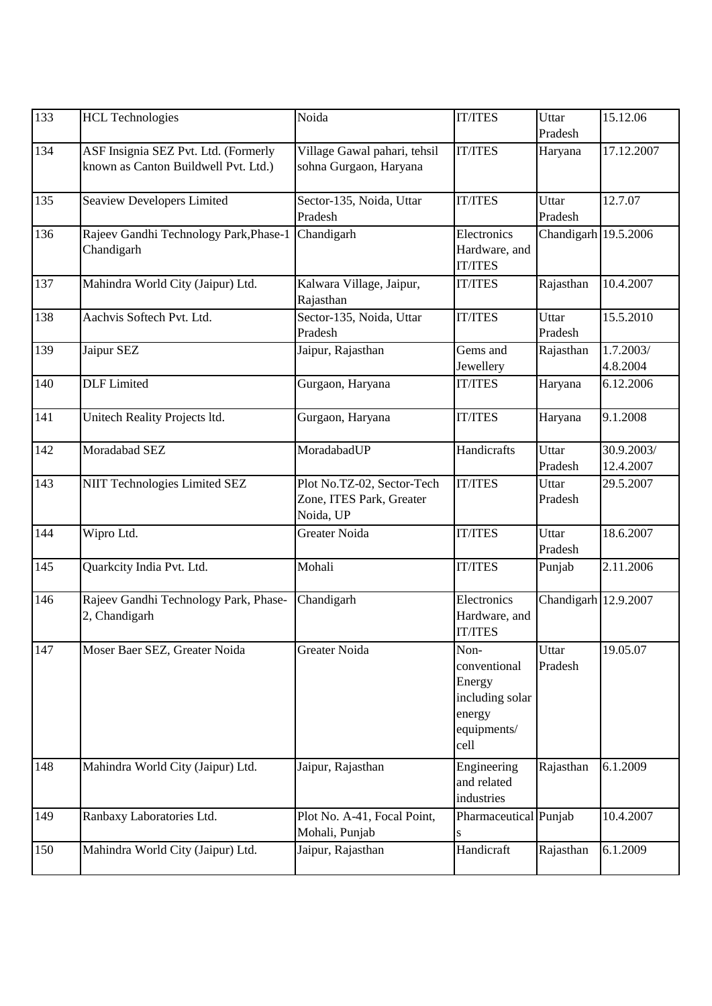| 133 | <b>HCL Technologies</b>                                                      | Noida                                                               | <b>IT/ITES</b>                                                                     | Uttar<br>Pradesh     | 15.12.06                |
|-----|------------------------------------------------------------------------------|---------------------------------------------------------------------|------------------------------------------------------------------------------------|----------------------|-------------------------|
| 134 | ASF Insignia SEZ Pvt. Ltd. (Formerly<br>known as Canton Buildwell Pvt. Ltd.) | Village Gawal pahari, tehsil<br>sohna Gurgaon, Haryana              | <b>IT/ITES</b>                                                                     | Haryana              | 17.12.2007              |
| 135 | <b>Seaview Developers Limited</b>                                            | Sector-135, Noida, Uttar<br>Pradesh                                 | <b>IT/ITES</b>                                                                     | Uttar<br>Pradesh     | 12.7.07                 |
| 136 | Rajeev Gandhi Technology Park, Phase-1<br>Chandigarh                         | Chandigarh                                                          | Electronics<br>Hardware, and<br><b>IT/ITES</b>                                     | Chandigarh 19.5.2006 |                         |
| 137 | Mahindra World City (Jaipur) Ltd.                                            | Kalwara Village, Jaipur,<br>Rajasthan                               | <b>IT/ITES</b>                                                                     | Rajasthan            | 10.4.2007               |
| 138 | Aachvis Softech Pvt. Ltd.                                                    | Sector-135, Noida, Uttar<br>Pradesh                                 | <b>IT/ITES</b>                                                                     | Uttar<br>Pradesh     | 15.5.2010               |
| 139 | Jaipur SEZ                                                                   | Jaipur, Rajasthan                                                   | Gems and<br>Jewellery                                                              | Rajasthan            | 1.7.2003/<br>4.8.2004   |
| 140 | <b>DLF</b> Limited                                                           | Gurgaon, Haryana                                                    | <b>IT/ITES</b>                                                                     | Haryana              | 6.12.2006               |
| 141 | Unitech Reality Projects ltd.                                                | Gurgaon, Haryana                                                    | <b>IT/ITES</b>                                                                     | Haryana              | 9.1.2008                |
| 142 | Moradabad SEZ                                                                | MoradabadUP                                                         | Handicrafts                                                                        | Uttar<br>Pradesh     | 30.9.2003/<br>12.4.2007 |
| 143 | <b>NIIT Technologies Limited SEZ</b>                                         | Plot No.TZ-02, Sector-Tech<br>Zone, ITES Park, Greater<br>Noida, UP | <b>IT/ITES</b>                                                                     | Uttar<br>Pradesh     | 29.5.2007               |
| 144 | Wipro Ltd.                                                                   | <b>Greater Noida</b>                                                | <b>IT/ITES</b>                                                                     | Uttar<br>Pradesh     | 18.6.2007               |
| 145 | Quarkcity India Pvt. Ltd.                                                    | Mohali                                                              | <b>IT/ITES</b>                                                                     | Punjab               | 2.11.2006               |
| 146 | Rajeev Gandhi Technology Park, Phase-<br>2, Chandigarh                       | $\overline{\text{Chandigarh}}$                                      | Electronics<br>Hardware, and<br><b>IT/ITES</b>                                     | Chandigarh 12.9.2007 |                         |
| 147 | Moser Baer SEZ, Greater Noida                                                | Greater Noida                                                       | Non-<br>conventional<br>Energy<br>including solar<br>energy<br>equipments/<br>cell | Uttar<br>Pradesh     | 19.05.07                |
| 148 | Mahindra World City (Jaipur) Ltd.                                            | Jaipur, Rajasthan                                                   | Engineering<br>and related<br>industries                                           | Rajasthan            | 6.1.2009                |
| 149 | Ranbaxy Laboratories Ltd.                                                    | Plot No. A-41, Focal Point,<br>Mohali, Punjab                       | Pharmaceutical Punjab<br>S                                                         |                      | 10.4.2007               |
| 150 | Mahindra World City (Jaipur) Ltd.                                            | Jaipur, Rajasthan                                                   | Handicraft                                                                         | Rajasthan            | 6.1.2009                |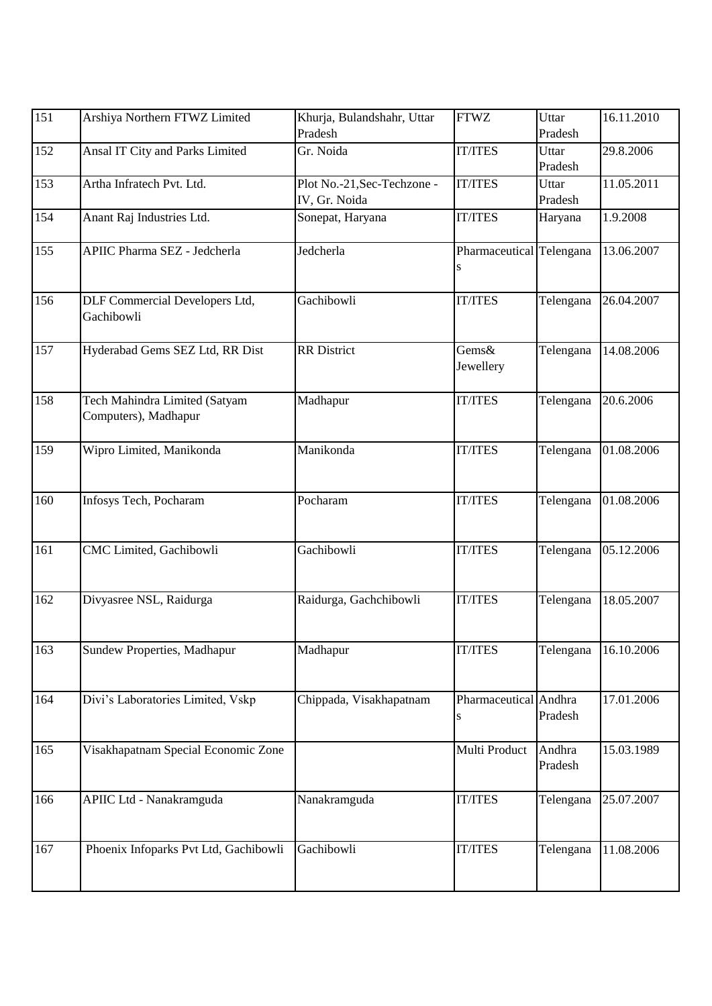| 151 | Arshiya Northern FTWZ Limited                         | Khurja, Bulandshahr, Uttar<br>Pradesh        | <b>FTWZ</b>                   | Uttar<br>Pradesh  | 16.11.2010 |
|-----|-------------------------------------------------------|----------------------------------------------|-------------------------------|-------------------|------------|
| 152 | Ansal IT City and Parks Limited                       | Gr. Noida                                    | <b>IT/ITES</b>                | Uttar<br>Pradesh  | 29.8.2006  |
| 153 | Artha Infratech Pvt. Ltd.                             | Plot No.-21, Sec-Techzone -<br>IV, Gr. Noida | <b>IT/ITES</b>                | Uttar<br>Pradesh  | 11.05.2011 |
| 154 | Anant Raj Industries Ltd.                             | Sonepat, Haryana                             | <b>IT/ITES</b>                | Haryana           | 1.9.2008   |
| 155 | <b>APIIC Pharma SEZ - Jedcherla</b>                   | Jedcherla                                    | Pharmaceutical Telengana<br>S |                   | 13.06.2007 |
| 156 | DLF Commercial Developers Ltd,<br>Gachibowli          | Gachibowli                                   | <b>IT/ITES</b>                | Telengana         | 26.04.2007 |
| 157 | Hyderabad Gems SEZ Ltd, RR Dist                       | <b>RR</b> District                           | Gems&<br>Jewellery            | Telengana         | 14.08.2006 |
| 158 | Tech Mahindra Limited (Satyam<br>Computers), Madhapur | Madhapur                                     | <b>IT/ITES</b>                | Telengana         | 20.6.2006  |
| 159 | Wipro Limited, Manikonda                              | Manikonda                                    | <b>IT/ITES</b>                | Telengana         | 01.08.2006 |
| 160 | Infosys Tech, Pocharam                                | Pocharam                                     | <b>IT/ITES</b>                | Telengana         | 01.08.2006 |
| 161 | CMC Limited, Gachibowli                               | Gachibowli                                   | <b>IT/ITES</b>                | Telengana         | 05.12.2006 |
| 162 | Divyasree NSL, Raidurga                               | Raidurga, Gachchibowli                       | <b>IT/ITES</b>                | Telengana         | 18.05.2007 |
| 163 | Sundew Properties, Madhapur                           | Madhapur                                     | <b>IT/ITES</b>                | Telengana         | 16.10.2006 |
| 164 | Divi's Laboratories Limited, Vskp                     | Chippada, Visakhapatnam                      | Pharmaceutical Andhra<br>S    | Pradesh           | 17.01.2006 |
| 165 | Visakhapatnam Special Economic Zone                   |                                              | Multi Product                 | Andhra<br>Pradesh | 15.03.1989 |
| 166 | APIIC Ltd - Nanakramguda                              | Nanakramguda                                 | <b>IT/ITES</b>                | Telengana         | 25.07.2007 |
| 167 | Phoenix Infoparks Pvt Ltd, Gachibowli                 | Gachibowli                                   | <b>IT/ITES</b>                | Telengana         | 11.08.2006 |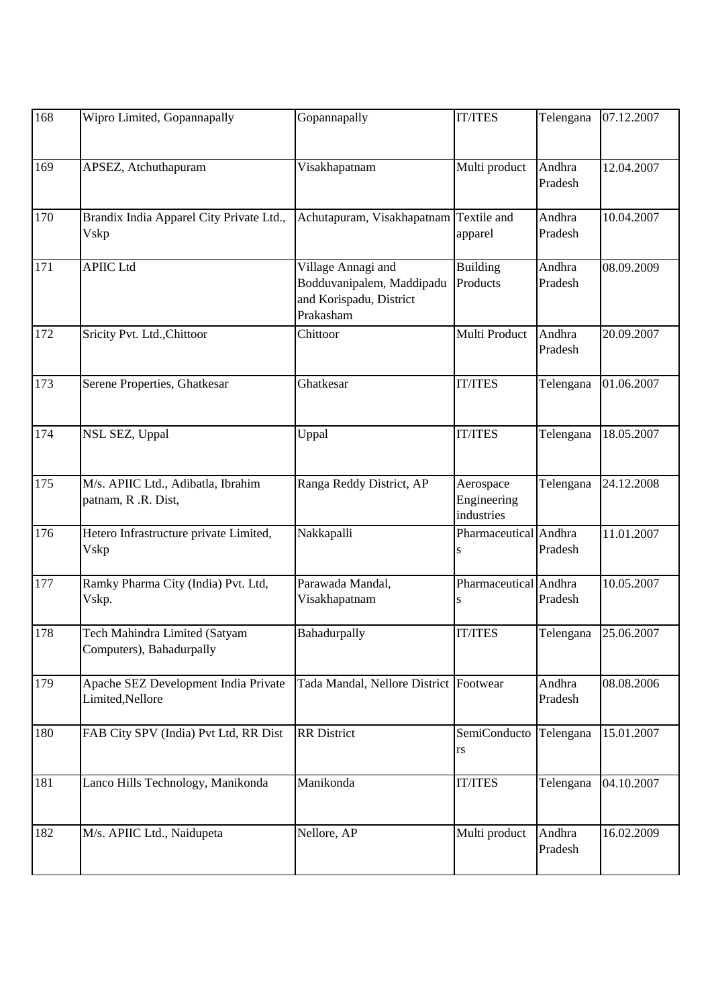| 168 | Wipro Limited, Gopannapally                               | Gopannapally                                                                            | <b>IT/ITES</b>                         | Telengana         | 07.12.2007 |
|-----|-----------------------------------------------------------|-----------------------------------------------------------------------------------------|----------------------------------------|-------------------|------------|
| 169 | APSEZ, Atchuthapuram                                      | Visakhapatnam                                                                           | Multi product                          | Andhra<br>Pradesh | 12.04.2007 |
| 170 | Brandix India Apparel City Private Ltd.,<br><b>V</b> skp  | Achutapuram, Visakhapatnam Textile and                                                  | apparel                                | Andhra<br>Pradesh | 10.04.2007 |
| 171 | <b>APIIC Ltd</b>                                          | Village Annagi and<br>Bodduvanipalem, Maddipadu<br>and Korispadu, District<br>Prakasham | <b>Building</b><br>Products            | Andhra<br>Pradesh | 08.09.2009 |
| 172 | Sricity Pvt. Ltd., Chittoor                               | Chittoor                                                                                | Multi Product                          | Andhra<br>Pradesh | 20.09.2007 |
| 173 | Serene Properties, Ghatkesar                              | Ghatkesar                                                                               | <b>IT/ITES</b>                         | Telengana         | 01.06.2007 |
| 174 | NSL SEZ, Uppal                                            | Uppal                                                                                   | <b>IT/ITES</b>                         | Telengana         | 18.05.2007 |
| 175 | M/s. APIIC Ltd., Adibatla, Ibrahim<br>patnam, R.R. Dist,  | Ranga Reddy District, AP                                                                | Aerospace<br>Engineering<br>industries | Telengana         | 24.12.2008 |
| 176 | Hetero Infrastructure private Limited,<br>Vskp            | Nakkapalli                                                                              | Pharmaceutical Andhra                  | Pradesh           | 11.01.2007 |
| 177 | Ramky Pharma City (India) Pvt. Ltd,<br>Vskp.              | Parawada Mandal,<br>Visakhapatnam                                                       | Pharmaceutical Andhra                  | Pradesh           | 10.05.2007 |
| 178 | Tech Mahindra Limited (Satyam<br>Computers), Bahadurpally | Bahadurpally                                                                            | <b>IT/ITES</b>                         | Telengana         | 25.06.2007 |
| 179 | Apache SEZ Development India Private<br>Limited, Nellore  | Tada Mandal, Nellore District Footwear                                                  |                                        | Andhra<br>Pradesh | 08.08.2006 |
| 180 | FAB City SPV (India) Pvt Ltd, RR Dist                     | <b>RR</b> District                                                                      | SemiConducto<br>rs                     | Telengana         | 15.01.2007 |
| 181 | Lanco Hills Technology, Manikonda                         | Manikonda                                                                               | <b>IT/ITES</b>                         | Telengana         | 04.10.2007 |
| 182 | M/s. APIIC Ltd., Naidupeta                                | Nellore, AP                                                                             | Multi product                          | Andhra<br>Pradesh | 16.02.2009 |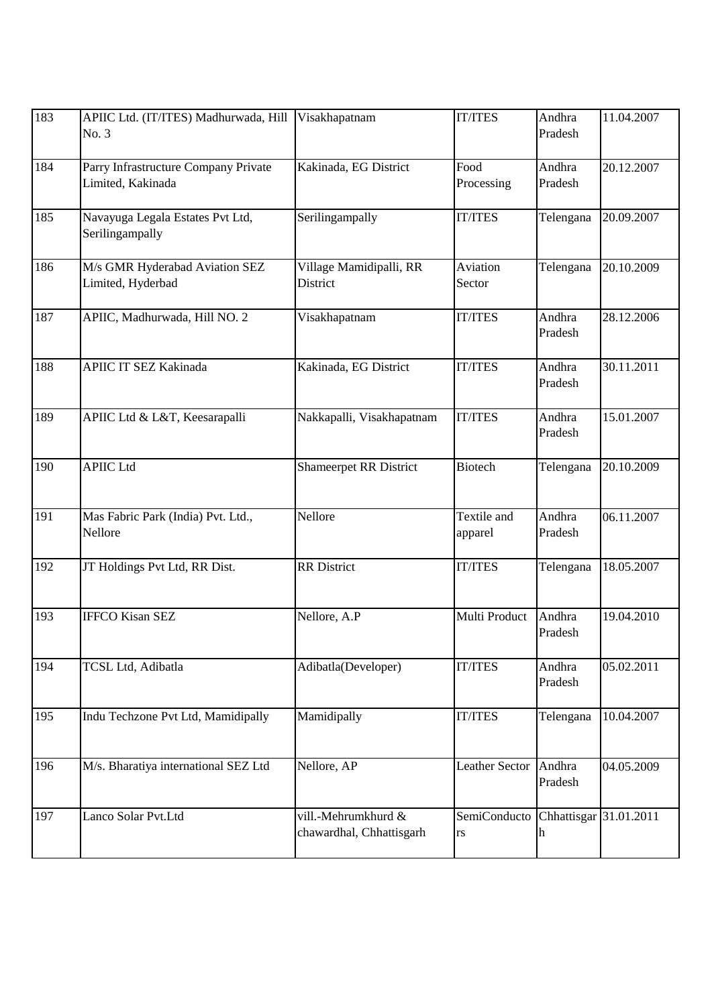| 183 | APIIC Ltd. (IT/ITES) Madhurwada, Hill<br>No. 3            | Visakhapatnam                                   | <b>IT/ITES</b>         | Andhra<br>Pradesh           | 11.04.2007 |
|-----|-----------------------------------------------------------|-------------------------------------------------|------------------------|-----------------------------|------------|
| 184 | Parry Infrastructure Company Private<br>Limited, Kakinada | Kakinada, EG District                           | Food<br>Processing     | Andhra<br>Pradesh           | 20.12.2007 |
| 185 | Navayuga Legala Estates Pvt Ltd,<br>Serilingampally       | Serilingampally                                 | <b>IT/ITES</b>         | Telengana                   | 20.09.2007 |
| 186 | M/s GMR Hyderabad Aviation SEZ<br>Limited, Hyderbad       | Village Mamidipalli, RR<br>District             | Aviation<br>Sector     | Telengana                   | 20.10.2009 |
| 187 | APIIC, Madhurwada, Hill NO. 2                             | Visakhapatnam                                   | <b>IT/ITES</b>         | Andhra<br>Pradesh           | 28.12.2006 |
| 188 | <b>APIIC IT SEZ Kakinada</b>                              | Kakinada, EG District                           | <b>IT/ITES</b>         | Andhra<br>Pradesh           | 30.11.2011 |
| 189 | APIIC Ltd & L&T, Keesarapalli                             | Nakkapalli, Visakhapatnam                       | <b>IT/ITES</b>         | Andhra<br>Pradesh           | 15.01.2007 |
| 190 | <b>APIIC Ltd</b>                                          | <b>Shameerpet RR District</b>                   | <b>Biotech</b>         | Telengana                   | 20.10.2009 |
| 191 | Mas Fabric Park (India) Pvt. Ltd.,<br>Nellore             | Nellore                                         | Textile and<br>apparel | Andhra<br>Pradesh           | 06.11.2007 |
| 192 | JT Holdings Pvt Ltd, RR Dist.                             | <b>RR</b> District                              | <b>IT/ITES</b>         | Telengana                   | 18.05.2007 |
| 193 | <b>IFFCO Kisan SEZ</b>                                    | Nellore, A.P                                    | Multi Product          | Andhra<br>Pradesh           | 19.04.2010 |
| 194 | TCSL Ltd, Adibatla                                        | Adibatla(Developer)                             | <b>IT/ITES</b>         | Andhra<br>Pradesh           | 05.02.2011 |
| 195 | Indu Techzone Pvt Ltd, Mamidipally                        | Mamidipally                                     | <b>IT/ITES</b>         | Telengana                   | 10.04.2007 |
| 196 | M/s. Bharatiya international SEZ Ltd                      | Nellore, AP                                     | Leather Sector         | Andhra<br>Pradesh           | 04.05.2009 |
| 197 | Lanco Solar Pvt.Ltd                                       | vill.-Mehrumkhurd &<br>chawardhal, Chhattisgarh | SemiConducto<br>rs     | Chhattisgar 31.01.2011<br>h |            |